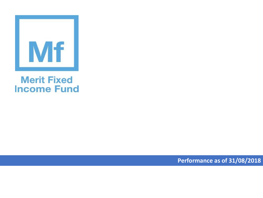

## **Merit Fixed Income Fund**

**Performance as of 31/08/2018**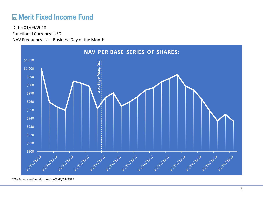## **ME Merit Fixed Income Fund**

Functional Currency: USD NAV Frequency: Last Business Day of the Month